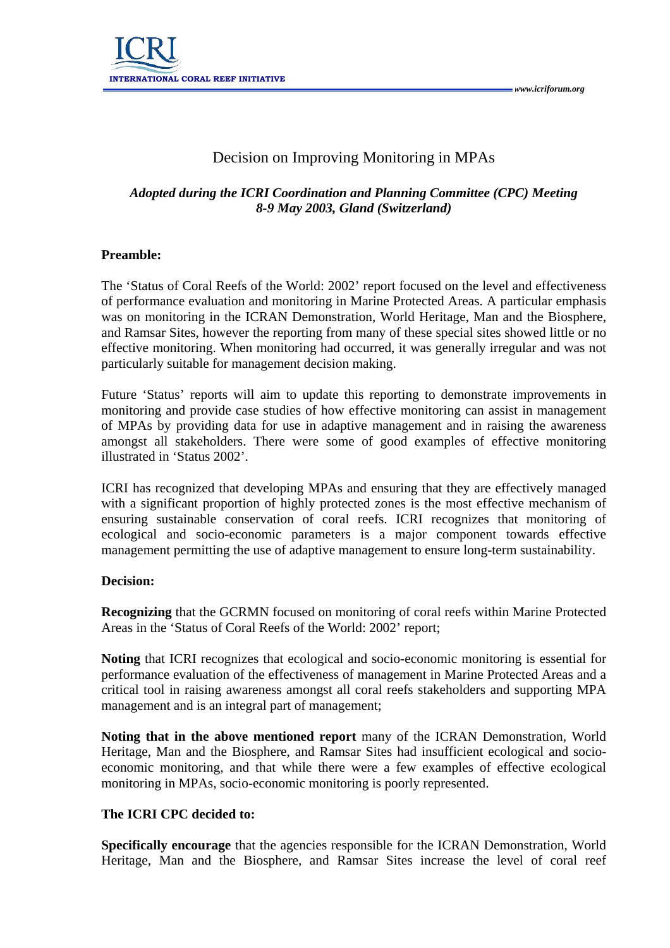

# Decision on Improving Monitoring in MPAs

## *Adopted during the ICRI Coordination and Planning Committee (CPC) Meeting 8-9 May 2003, Gland (Switzerland)*

#### **Preamble:**

The 'Status of Coral Reefs of the World: 2002' report focused on the level and effectiveness of performance evaluation and monitoring in Marine Protected Areas. A particular emphasis was on monitoring in the ICRAN Demonstration, World Heritage, Man and the Biosphere, and Ramsar Sites, however the reporting from many of these special sites showed little or no effective monitoring. When monitoring had occurred, it was generally irregular and was not particularly suitable for management decision making.

Future 'Status' reports will aim to update this reporting to demonstrate improvements in monitoring and provide case studies of how effective monitoring can assist in management of MPAs by providing data for use in adaptive management and in raising the awareness amongst all stakeholders. There were some of good examples of effective monitoring illustrated in 'Status 2002'.

ICRI has recognized that developing MPAs and ensuring that they are effectively managed with a significant proportion of highly protected zones is the most effective mechanism of ensuring sustainable conservation of coral reefs. ICRI recognizes that monitoring of ecological and socio-economic parameters is a major component towards effective management permitting the use of adaptive management to ensure long-term sustainability.

#### **Decision:**

**Recognizing** that the GCRMN focused on monitoring of coral reefs within Marine Protected Areas in the 'Status of Coral Reefs of the World: 2002' report;

**Noting** that ICRI recognizes that ecological and socio-economic monitoring is essential for performance evaluation of the effectiveness of management in Marine Protected Areas and a critical tool in raising awareness amongst all coral reefs stakeholders and supporting MPA management and is an integral part of management;

**Noting that in the above mentioned report** many of the ICRAN Demonstration, World Heritage, Man and the Biosphere, and Ramsar Sites had insufficient ecological and socioeconomic monitoring, and that while there were a few examples of effective ecological monitoring in MPAs, socio-economic monitoring is poorly represented.

### **The ICRI CPC decided to:**

**Specifically encourage** that the agencies responsible for the ICRAN Demonstration, World Heritage, Man and the Biosphere, and Ramsar Sites increase the level of coral reef